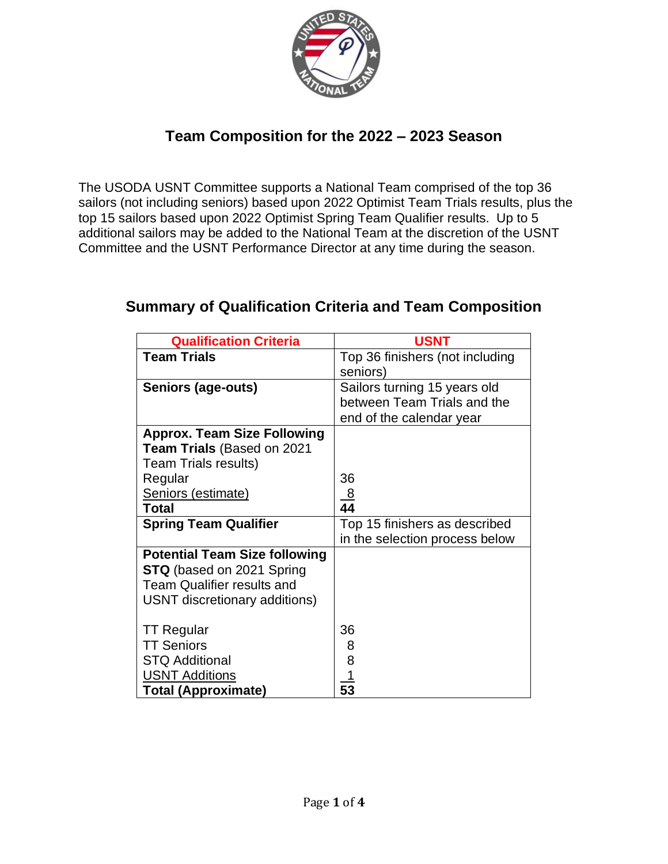

## **Team Composition for the 2022 – 2023 Season**

The USODA USNT Committee supports a National Team comprised of the top 36 sailors (not including seniors) based upon 2022 Optimist Team Trials results, plus the top 15 sailors based upon 2022 Optimist Spring Team Qualifier results. Up to 5 additional sailors may be added to the National Team at the discretion of the USNT Committee and the USNT Performance Director at any time during the season.

| <b>Qualification Criteria</b>        | <b>USNT</b>                     |
|--------------------------------------|---------------------------------|
| <b>Team Trials</b>                   | Top 36 finishers (not including |
|                                      | seniors)                        |
| <b>Seniors (age-outs)</b>            | Sailors turning 15 years old    |
|                                      | between Team Trials and the     |
|                                      | end of the calendar year        |
| <b>Approx. Team Size Following</b>   |                                 |
| Team Trials (Based on 2021           |                                 |
| Team Trials results)                 |                                 |
| Regular                              | 36                              |
| Seniors (estimate)                   | $\overline{8}$                  |
| Total                                | 44                              |
| <b>Spring Team Qualifier</b>         | Top 15 finishers as described   |
|                                      | in the selection process below  |
| <b>Potential Team Size following</b> |                                 |
| <b>STQ</b> (based on 2021 Spring     |                                 |
| <b>Team Qualifier results and</b>    |                                 |
| USNT discretionary additions)        |                                 |
|                                      |                                 |
| TT Regular                           | 36                              |
| <b>TT Seniors</b>                    | 8                               |
| <b>STQ Additional</b>                | 8                               |
| <b>USNT Additions</b>                | 1                               |
| <b>Total (Approximate)</b>           | 53                              |

#### **Summary of Qualification Criteria and Team Composition**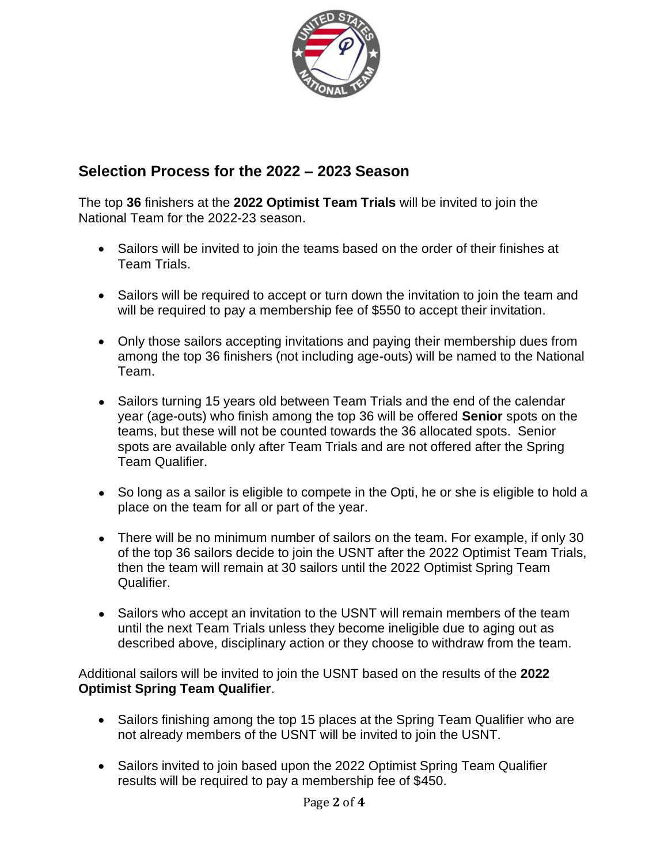

### **Selection Process for the 2022 – 2023 Season**

The top **36** finishers at the **2022 Optimist Team Trials** will be invited to join the National Team for the 2022-23 season.

- Sailors will be invited to join the teams based on the order of their finishes at Team Trials.
- Sailors will be required to accept or turn down the invitation to join the team and will be required to pay a membership fee of \$550 to accept their invitation.
- Only those sailors accepting invitations and paying their membership dues from among the top 36 finishers (not including age-outs) will be named to the National Team.
- Sailors turning 15 years old between Team Trials and the end of the calendar year (age-outs) who finish among the top 36 will be offered **Senior** spots on the teams, but these will not be counted towards the 36 allocated spots. Senior spots are available only after Team Trials and are not offered after the Spring Team Qualifier.
- So long as a sailor is eligible to compete in the Opti, he or she is eligible to hold a place on the team for all or part of the year.
- There will be no minimum number of sailors on the team. For example, if only 30 of the top 36 sailors decide to join the USNT after the 2022 Optimist Team Trials, then the team will remain at 30 sailors until the 2022 Optimist Spring Team Qualifier.
- Sailors who accept an invitation to the USNT will remain members of the team until the next Team Trials unless they become ineligible due to aging out as described above, disciplinary action or they choose to withdraw from the team.

Additional sailors will be invited to join the USNT based on the results of the **2022 Optimist Spring Team Qualifier**.

- Sailors finishing among the top 15 places at the Spring Team Qualifier who are not already members of the USNT will be invited to join the USNT.
- Sailors invited to join based upon the 2022 Optimist Spring Team Qualifier results will be required to pay a membership fee of \$450.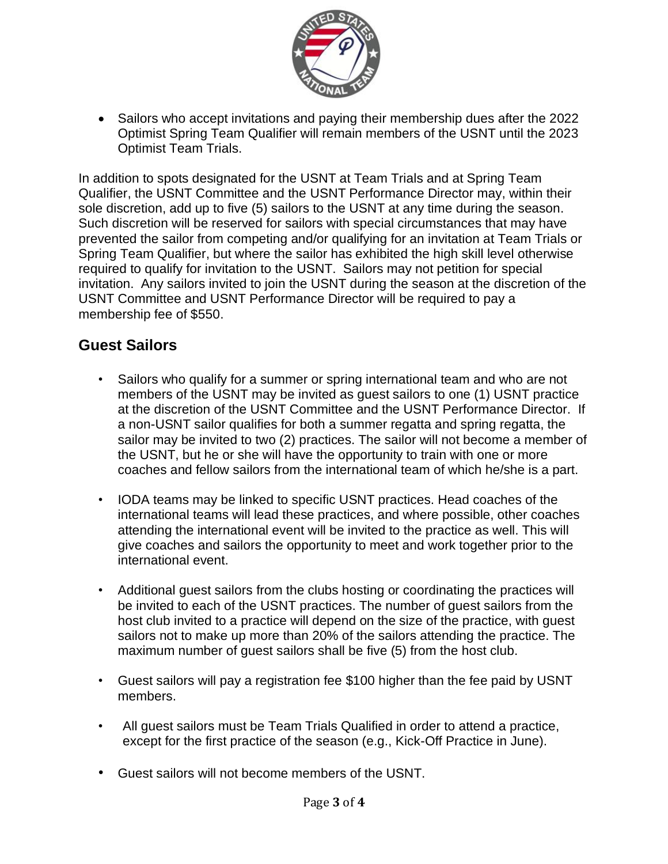

• Sailors who accept invitations and paying their membership dues after the 2022 Optimist Spring Team Qualifier will remain members of the USNT until the 2023 Optimist Team Trials.

In addition to spots designated for the USNT at Team Trials and at Spring Team Qualifier, the USNT Committee and the USNT Performance Director may, within their sole discretion, add up to five (5) sailors to the USNT at any time during the season. Such discretion will be reserved for sailors with special circumstances that may have prevented the sailor from competing and/or qualifying for an invitation at Team Trials or Spring Team Qualifier, but where the sailor has exhibited the high skill level otherwise required to qualify for invitation to the USNT. Sailors may not petition for special invitation. Any sailors invited to join the USNT during the season at the discretion of the USNT Committee and USNT Performance Director will be required to pay a membership fee of \$550.

### **Guest Sailors**

- Sailors who qualify for a summer or spring international team and who are not members of the USNT may be invited as guest sailors to one (1) USNT practice at the discretion of the USNT Committee and the USNT Performance Director. If a non-USNT sailor qualifies for both a summer regatta and spring regatta, the sailor may be invited to two (2) practices. The sailor will not become a member of the USNT, but he or she will have the opportunity to train with one or more coaches and fellow sailors from the international team of which he/she is a part.
- IODA teams may be linked to specific USNT practices. Head coaches of the international teams will lead these practices, and where possible, other coaches attending the international event will be invited to the practice as well. This will give coaches and sailors the opportunity to meet and work together prior to the international event.
- Additional guest sailors from the clubs hosting or coordinating the practices will be invited to each of the USNT practices. The number of guest sailors from the host club invited to a practice will depend on the size of the practice, with guest sailors not to make up more than 20% of the sailors attending the practice. The maximum number of guest sailors shall be five (5) from the host club.
- Guest sailors will pay a registration fee \$100 higher than the fee paid by USNT members.
- All guest sailors must be Team Trials Qualified in order to attend a practice, except for the first practice of the season (e.g., Kick-Off Practice in June).
- Guest sailors will not become members of the USNT.